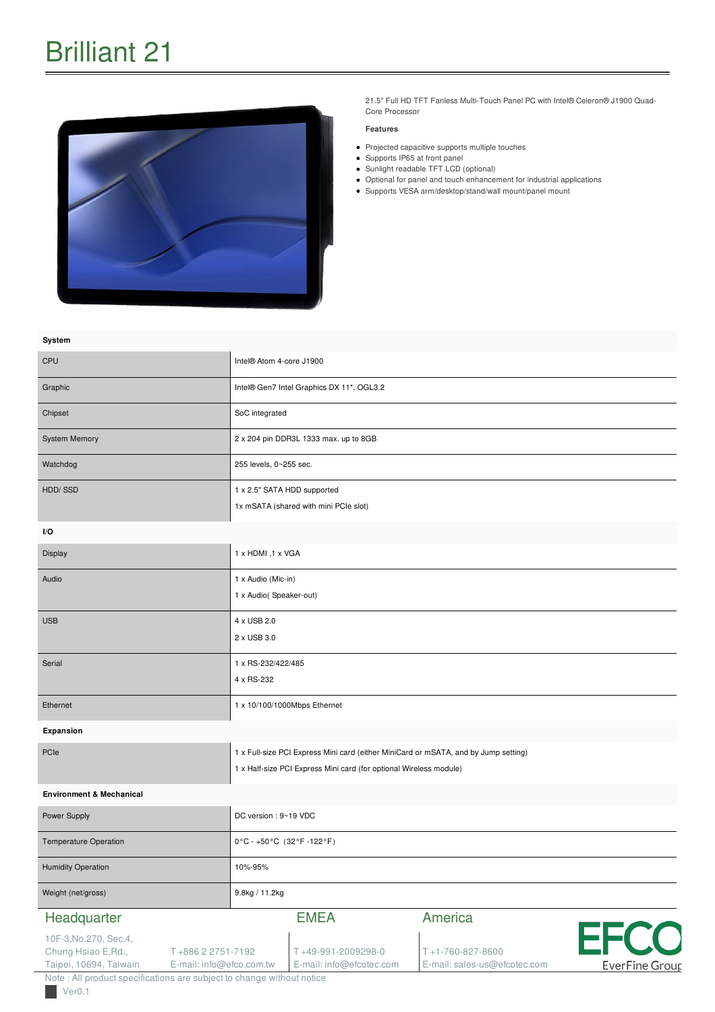

21.5" Full HD TFT Fanless Multi-Touch Panel PC with Intel® Celeron® J1900 Quad-Core Processor

#### **Features**

- Projected capacitive supports multiple touches
- Supports IP65 at front panel
- Sunlight readable TFT LCD (optional)
- Optional for panel and touch enhancement for industrial applications
- Supports VESA arm/desktop/stand/wall mount/panel mount

| System                                                                                                                                                                                            |                                                                                                                                                           |                                                            |                                      |
|---------------------------------------------------------------------------------------------------------------------------------------------------------------------------------------------------|-----------------------------------------------------------------------------------------------------------------------------------------------------------|------------------------------------------------------------|--------------------------------------|
| CPU                                                                                                                                                                                               | Intel® Atom 4-core J1900                                                                                                                                  |                                                            |                                      |
| Graphic                                                                                                                                                                                           | Intel® Gen7 Intel Graphics DX 11*, OGL3.2                                                                                                                 |                                                            |                                      |
| Chipset                                                                                                                                                                                           | SoC integrated                                                                                                                                            |                                                            |                                      |
| <b>System Memory</b>                                                                                                                                                                              | 2 x 204 pin DDR3L 1333 max. up to 8GB                                                                                                                     |                                                            |                                      |
| Watchdog                                                                                                                                                                                          | 255 levels, 0~255 sec.                                                                                                                                    |                                                            |                                      |
| HDD/SSD                                                                                                                                                                                           | 1 x 2.5" SATA HDD supported<br>1x mSATA (shared with mini PCIe slot)                                                                                      |                                                            |                                      |
| I/O                                                                                                                                                                                               |                                                                                                                                                           |                                                            |                                      |
| Display                                                                                                                                                                                           | 1 x HDMI, 1 x VGA                                                                                                                                         |                                                            |                                      |
| Audio                                                                                                                                                                                             | 1 x Audio (Mic-in)<br>1 x Audio( Speaker-out)                                                                                                             |                                                            |                                      |
| <b>USB</b>                                                                                                                                                                                        | 4 x USB 2.0<br>2 x USB 3.0                                                                                                                                |                                                            |                                      |
| Serial                                                                                                                                                                                            | 1 x RS-232/422/485<br>4 x RS-232                                                                                                                          |                                                            |                                      |
| Ethernet                                                                                                                                                                                          | 1 x 10/100/1000Mbps Ethernet                                                                                                                              |                                                            |                                      |
| Expansion                                                                                                                                                                                         |                                                                                                                                                           |                                                            |                                      |
| PCIe                                                                                                                                                                                              | 1 x Full-size PCI Express Mini card (either MiniCard or mSATA, and by Jump setting)<br>1 x Half-size PCI Express Mini card (for optional Wireless module) |                                                            |                                      |
| <b>Environment &amp; Mechanical</b>                                                                                                                                                               |                                                                                                                                                           |                                                            |                                      |
| Power Supply                                                                                                                                                                                      | DC version : 9~19 VDC                                                                                                                                     |                                                            |                                      |
| Temperature Operation                                                                                                                                                                             | 0°C - +50°C (32°F -122°F)                                                                                                                                 |                                                            |                                      |
| <b>Humidity Operation</b>                                                                                                                                                                         | 10%-95%                                                                                                                                                   |                                                            |                                      |
| Weight (net/gross)                                                                                                                                                                                | 9.8kg / 11.2kg                                                                                                                                            |                                                            |                                      |
| Headquarter                                                                                                                                                                                       | <b>EMEA</b>                                                                                                                                               | America                                                    |                                      |
| 10F-3, No.270, Sec.4,<br>Chung Hsiao E, Rd.,<br>T+886 2 2751-7192<br>Taipei, 10694, Taiwain<br>E-mail: info@efco.com.tw<br>Note : All product specifications are subject to change without notice | T+49-991-2009298-0<br>E-mail: info@efcotec.com                                                                                                            | $T + 1 - 760 - 827 - 8600$<br>E-mail: sales-us@efcotec.com | <b>EFCO</b><br><b>EverFine Group</b> |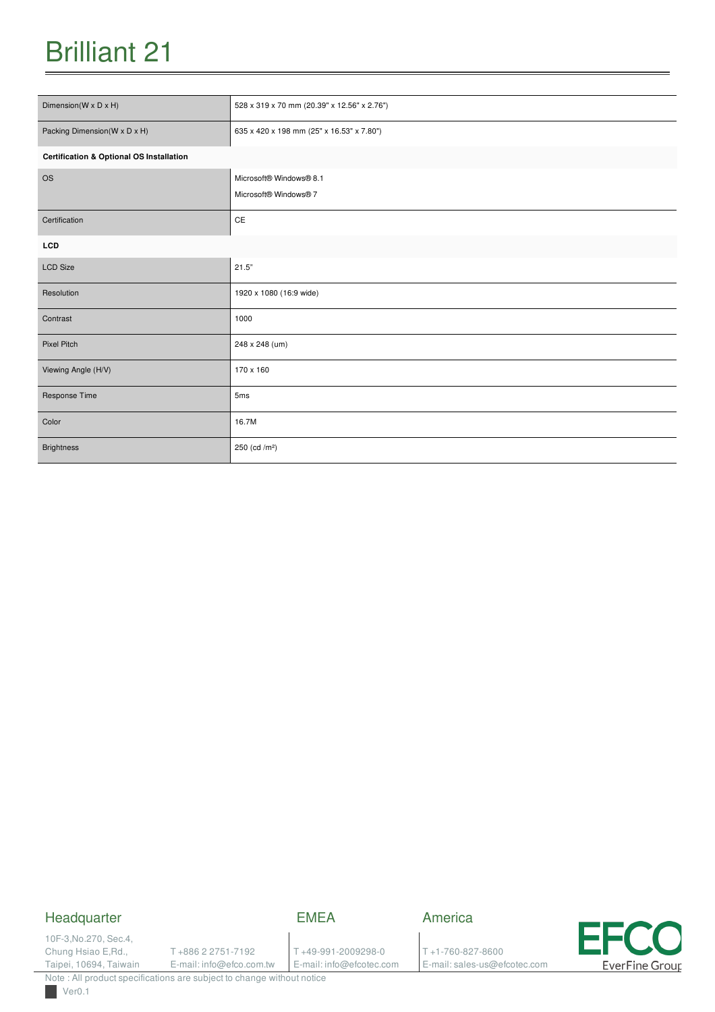| Dimension(W x D x H)                                | 528 x 319 x 70 mm (20.39" x 12.56" x 2.76")      |  |
|-----------------------------------------------------|--------------------------------------------------|--|
| Packing Dimension(W x D x H)                        | 635 x 420 x 198 mm (25" x 16.53" x 7.80")        |  |
| <b>Certification &amp; Optional OS Installation</b> |                                                  |  |
| <b>OS</b>                                           | Microsoft® Windows® 8.1<br>Microsoft® Windows® 7 |  |
| Certification                                       | CE                                               |  |
| <b>LCD</b>                                          |                                                  |  |
| <b>LCD Size</b>                                     | 21.5"                                            |  |
| Resolution                                          | 1920 x 1080 (16:9 wide)                          |  |
| Contrast                                            | 1000                                             |  |
| Pixel Pitch                                         | 248 x 248 (um)                                   |  |
| Viewing Angle (H/V)                                 | 170 x 160                                        |  |
| Response Time                                       | 5 <sub>ms</sub>                                  |  |
| Color                                               | 16.7M                                            |  |
| <b>Brightness</b>                                   | 250 (cd /m <sup>2</sup> )                        |  |

## Headquarter

EMEA

10F-3,No.270, Sec.4, Chung Hsiao E,Rd., Taipei, 10694, Taiwain

T +886 2 2751-7192

E-mail: info@efco.com.tw

T +49-991-2009298-0 E-mail: info@efcotec.com America

T +1-760-827-8600 E-mail: sales-us@efcotec.com

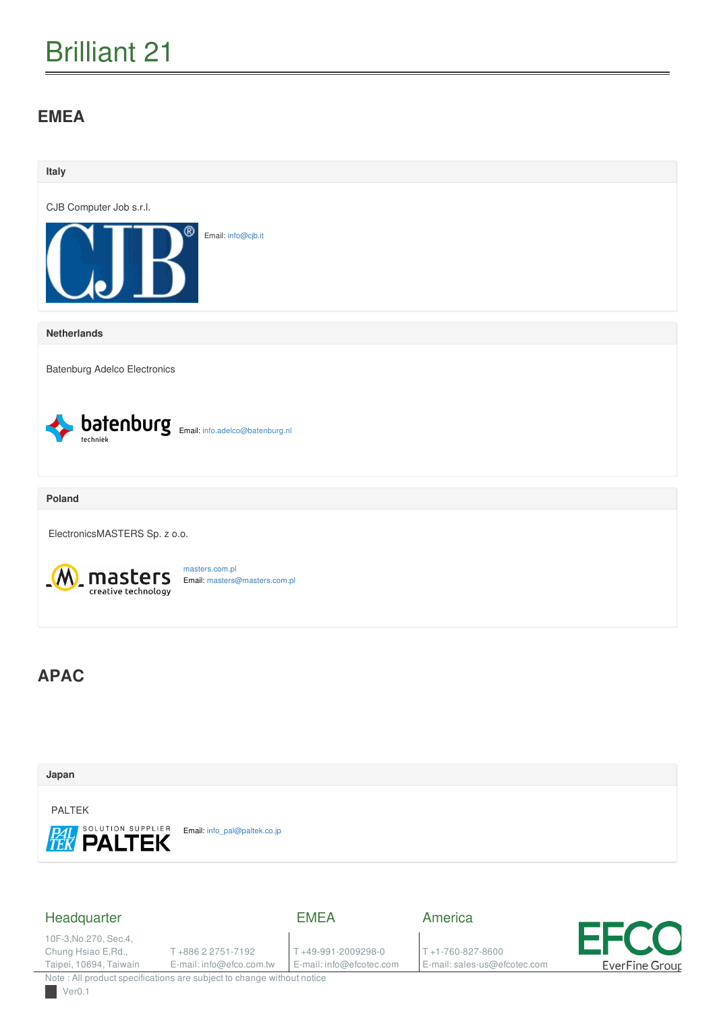## **EMEA**



### Headquarter

EMEA

10F-3,No.270, Sec.4, Chung Hsiao E,Rd., Taipei, 10694, Taiwain

T +886 2 2751-7192

E-mail: info@efco.com.tw

T +49-991-2009298-0 E-mail: info@efcotec.com America

T +1-760-827-8600 E-mail: sales-us@efcotec.com

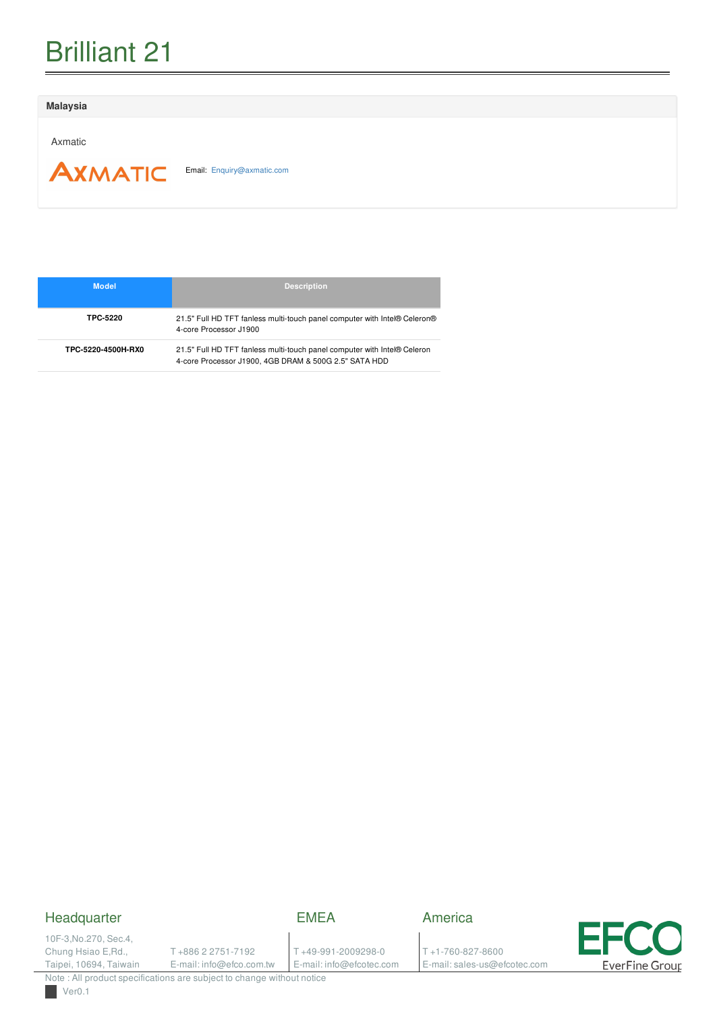#### **Malaysia**

Axmatic

**AXMATIC** 

Email: [Enquiry@axmatic.com](mailto:Enquiry@axmatic.com)

| <b>Model</b>       | <b>Description</b>                                                                                                                |
|--------------------|-----------------------------------------------------------------------------------------------------------------------------------|
| TPC-5220           | 21.5" Full HD TFT fanless multi-touch panel computer with Intel® Celeron®<br>4-core Processor J1900                               |
| TPC-5220-4500H-RX0 | 21.5" Full HD TFT fanless multi-touch panel computer with Intel® Celeron<br>4-core Processor J1900, 4GB DRAM & 500G 2.5" SATA HDD |

## Headquarter

### EMEA

10F-3,No.270, Sec.4, Chung Hsiao E,Rd., Taipei, 10694, Taiwain

T +886 2 2751-7192

E-mail: info@efco.com.tw

T +49-991-2009298-0 E-mail: info@efcotec.com

T +1-760-827-8600

America

E-mail: sales-us@efcotec.com